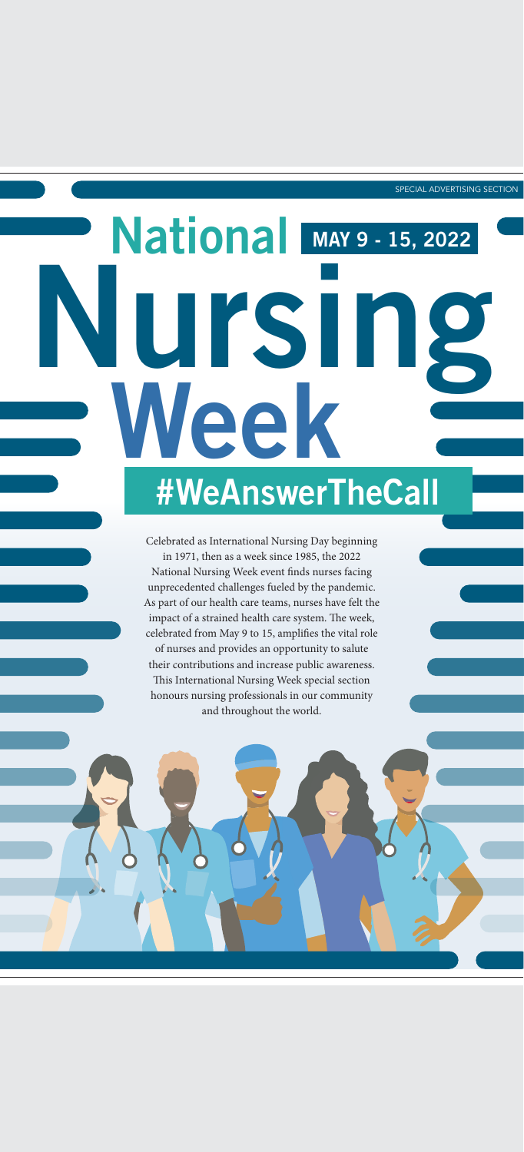SPECIAL ADVERTISING SECTION

Celebrated as International Nursing Day beginning in 1971, then as a week since 1985, the 2022 National Nursing Week event finds nurses facing unprecedented challenges fueled by the pandemic. As part of our health care teams, nurses have felt the impact of a strained health care system. The week, celebrated from May 9 to 15, amplifies the vital role of nurses and provides an opportunity to salute their contributions and increase public awareness. This International Nursing Week special section honours nursing professionals in our community and throughout the world.



# Nursing National Week MAY 9 - 15, 2022 #WeAnswerTheCall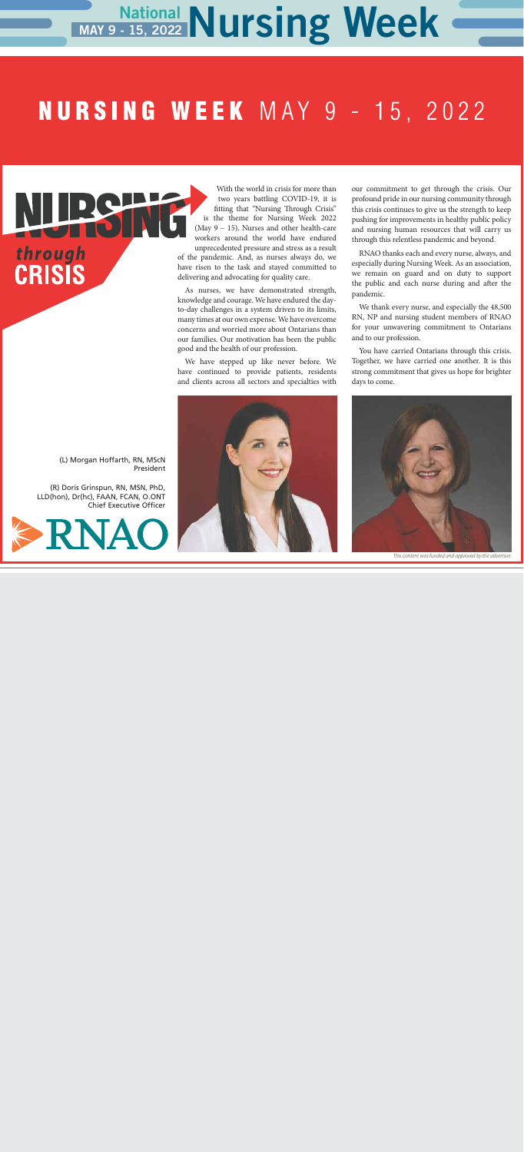With the world in crisis for more than two years battling COVID-19, it is fitting that "Nursing Through Crisis" is the theme for Nursing Week 2022 (May 9 – 15). Nurses and other health-care workers around the world have endured unprecedented pressure and stress as a result of the pandemic. And, as nurses always do, we have risen to the task and stayed committed to delivering and advocating for quality care.

As nurses, we have demonstrated strength, knowledge and courage. We have endured the dayto-day challenges in a system driven to its limits, many times at our own expense. We have overcome concerns and worried more about Ontarians than our families. Our motivation has been the public good and the health of our profession.

We have stepped up like never before. We have continued to provide patients, residents and clients across all sectors and specialties with

## National Nursing Week MAY 9 - 15, 2022

# **NURSING WEEK** MAY 9 - 15, 2022

our commitment to get through the crisis. Our profound pride in our nursing community through this crisis continues to give us the strength to keep pushing for improvements in healthy public policy and nursing human resources that will carry us through this relentless pandemic and beyond.

RNAO thanks each and every nurse, always, and especially during Nursing Week. As an association, we remain on guard and on duty to support the public and each nurse during and after the pandemic.

We thank every nurse, and especially the 48,500 RN, NP and nursing student members of RNAO for your unwavering commitment to Ontarians and to our profession.

You have carried Ontarians through this crisis. Together, we have carried one another. It is this strong commitment that gives us hope for brighter days to come.

(L) Morgan Hoffarth, RN, MScN President

(R) Doris Grinspun, RN, MSN, PhD, LLD(hon), Dr(hc), FAAN, FCAN, O.ONT Chief Executive Officer



through<br>CRISIS



*This content was funded and approved by the advertiser.*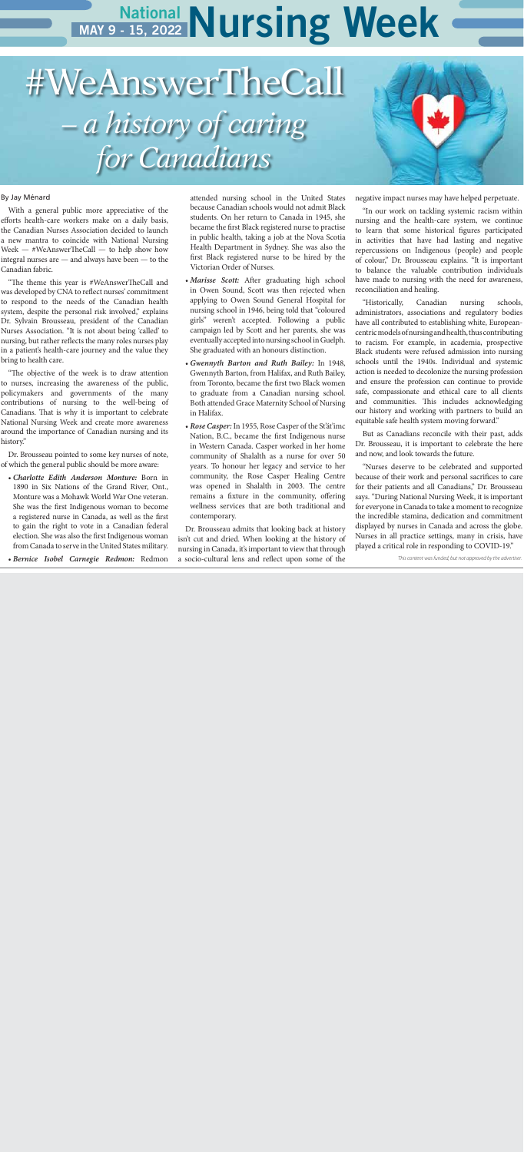## National Nursing Week MAY 9 - 15, 2022

#### By Jay Ménard

With a general public more appreciative of the efforts health-care workers make on a daily basis, the Canadian Nurses Association decided to launch a new mantra to coincide with National Nursing Week — #WeAnswerTheCall — to help show how integral nurses are — and always have been — to the Canadian fabric.

"The theme this year is #WeAnswerTheCall and was developed by CNA to reflect nurses' commitment to respond to the needs of the Canadian health system, despite the personal risk involved," explains Dr. Sylvain Brousseau, president of the Canadian Nurses Association. "It is not about being 'called' to nursing, but rather reflects the many roles nurses play in a patient's health-care journey and the value they bring to health care.

"The objective of the week is to draw attention to nurses, increasing the awareness of the public, policymakers and governments of the many contributions of nursing to the well-being of Canadians. That is why it is important to celebrate National Nursing Week and create more awareness around the importance of Canadian nursing and its history."

Dr. Brousseau pointed to some key nurses of note, of which the general public should be more aware:

- *Charlotte Edith Anderson Monture:* Born in 1890 in Six Nations of the Grand River, Ont., Monture was a Mohawk World War One veteran. She was the first Indigenous woman to become a registered nurse in Canada, as well as the first to gain the right to vote in a Canadian federal election. She was also the first Indigenous woman from Canada to serve in the United States military.
- *Bernice Isobel Carnegie Redmon:* Redmon

attended nursing school in the United States because Canadian schools would not admit Black students. On her return to Canada in 1945, she became the first Black registered nurse to practise in public health, taking a job at the Nova Scotia Health Department in Sydney. She was also the first Black registered nurse to be hired by the Victorian Order of Nurses.

- *Marisse Scott:* After graduating high school in Owen Sound, Scott was then rejected when applying to Owen Sound General Hospital for nursing school in 1946, being told that "coloured girls" weren't accepted. Following a public campaign led by Scott and her parents, she was eventually accepted into nursing school in Guelph. She graduated with an honours distinction.
- *Gwennyth Barton and Ruth Bailey:* In 1948, Gwennyth Barton, from Halifax, and Ruth Bailey, from Toronto, became the first two Black women to graduate from a Canadian nursing school. Both attended Grace Maternity School of Nursing in Halifax.
- *Rose Casper:* In 1955, Rose Casper of the St'át'imc Nation, B.C., became the first Indigenous nurse in Western Canada. Casper worked in her home community of Shalalth as a nurse for over 50 years. To honour her legacy and service to her community, the Rose Casper Healing Centre was opened in Shalalth in 2003. The centre remains a fixture in the community, offering wellness services that are both traditional and contemporary.

Dr. Brousseau admits that looking back at history isn't cut and dried. When looking at the history of nursing in Canada, it's important to view that through a socio-cultural lens and reflect upon some of the

negative impact nurses may have helped perpetuate.

"In our work on tackling systemic racism within nursing and the health-care system, we continue to learn that some historical figures participated in activities that have had lasting and negative repercussions on Indigenous (people) and people of colour," Dr. Brousseau explains. "It is important to balance the valuable contribution individuals have made to nursing with the need for awareness, reconciliation and healing.

"Historically, Canadian nursing schools, administrators, associations and regulatory bodies have all contributed to establishing white, Europeancentric models of nursing and health, thus contributing to racism. For example, in academia, prospective Black students were refused admission into nursing schools until the 1940s. Individual and systemic action is needed to decolonize the nursing profession and ensure the profession can continue to provide safe, compassionate and ethical care to all clients and communities. This includes acknowledging our history and working with partners to build an equitable safe health system moving forward."

But as Canadians reconcile with their past, adds Dr. Brousseau, it is important to celebrate the here and now, and look towards the future.

"Nurses deserve to be celebrated and supported because of their work and personal sacrifices to care for their patients and all Canadians," Dr. Brousseau says. "During National Nursing Week, it is important for everyone in Canada to take a moment to recognize the incredible stamina, dedication and commitment displayed by nurses in Canada and across the globe. Nurses in all practice settings, many in crisis, have played a critical role in responding to COVID-19."

#WeAnswerTheCall *– a history of caring* 

*for Canadians*

*This content was funded, but not approved by the advertiser.*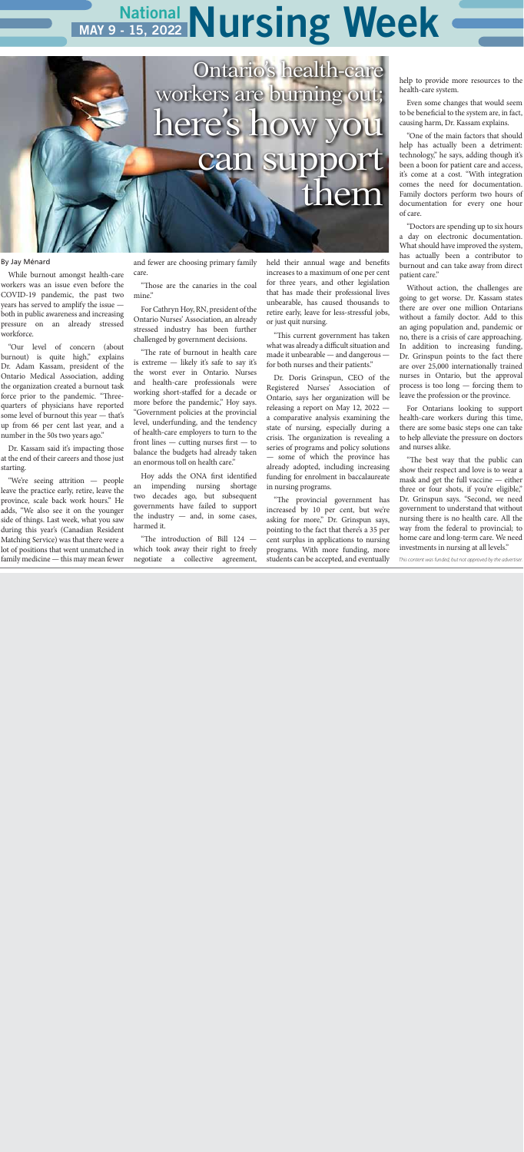## National Nursing Week MAY 9 - 15, 2022

#### By Jay Ménard

While burnout amongst health-care workers was an issue even before the COVID-19 pandemic, the past two years has served to amplify the issue both in public awareness and increasing pressure on an already stressed workforce.

"Our level of concern (about burnout) is quite high," explains Dr. Adam Kassam, president of the Ontario Medical Association, adding the organization created a burnout task force prior to the pandemic. "Threequarters of physicians have reported some level of burnout this year — that's up from 66 per cent last year, and a number in the 50s two years ago."

"Those are the canaries in the coal mine"

Dr. Kassam said it's impacting those at the end of their careers and those just starting.

"We're seeing attrition — people leave the practice early, retire, leave the province, scale back work hours." He adds, "We also see it on the younger side of things. Last week, what you saw during this year's (Canadian Resident Matching Service) was that there were a lot of positions that went unmatched in family medicine — this may mean fewer

and fewer are choosing primary family care.

For Cathryn Hoy, RN, president of the Ontario Nurses' Association, an already stressed industry has been further challenged by government decisions.

"The rate of burnout in health care is extreme — likely it's safe to say it's the worst ever in Ontario. Nurses and health-care professionals were working short-staffed for a decade or more before the pandemic," Hoy says. "Government policies at the provincial level, underfunding, and the tendency of health-care employers to turn to the front lines — cutting nurses first — to balance the budgets had already taken an enormous toll on health care."

Hoy adds the ONA first identified an impending nursing shortage two decades ago, but subsequent governments have failed to support the industry — and, in some cases, harmed it.

"The introduction of Bill 124 which took away their right to freely negotiate a collective agreement, held their annual wage and benefits increases to a maximum of one per cent for three years, and other legislation that has made their professional lives unbearable, has caused thousands to retire early, leave for less-stressful jobs, or just quit nursing.

"This current government has taken what was already a difficult situation and made it unbearable — and dangerous for both nurses and their patients."

Dr. Doris Grinspun, CEO of the Registered Nurses' Association of Ontario, says her organization will be releasing a report on May 12, 2022 a comparative analysis examining the state of nursing, especially during a crisis. The organization is revealing a series of programs and policy solutions — some of which the province has already adopted, including increasing funding for enrolment in baccalaureate in nursing programs.

"The provincial government has increased by 10 per cent, but we're asking for more," Dr. Grinspun says, pointing to the fact that there's a 35 per cent surplus in applications to nursing programs. With more funding, more students can be accepted, and eventually help to provide more resources to the health-care system.

Even some changes that would seem to be beneficial to the system are, in fact, causing harm, Dr. Kassam explains.

"One of the main factors that should help has actually been a detriment: technology," he says, adding though it's been a boon for patient care and access, it's come at a cost. "With integration comes the need for documentation. Family doctors perform two hours of documentation for every one hour of care.

"Doctors are spending up to six hours a day on electronic documentation. What should have improved the system, has actually been a contributor to burnout and can take away from direct patient care."

Without action, the challenges are going to get worse. Dr. Kassam states there are over one million Ontarians without a family doctor. Add to this an aging population and, pandemic or no, there is a crisis of care approaching. In addition to increasing funding, Dr. Grinspun points to the fact there are over 25,000 internationally trained nurses in Ontario, but the approval process is too long — forcing them to leave the profession or the province.

For Ontarians looking to support health-care workers during this time, there are some basic steps one can take to help alleviate the pressure on doctors and nurses alike.

"The best way that the public can show their respect and love is to wear a mask and get the full vaccine — either three or four shots, if you're eligible," Dr. Grinspun says. "Second, we need government to understand that without nursing there is no health care. All the way from the federal to provincial; to home care and long-term care. We need investments in nursing at all levels."

*This content was funded, but not approved by the advertiser.*